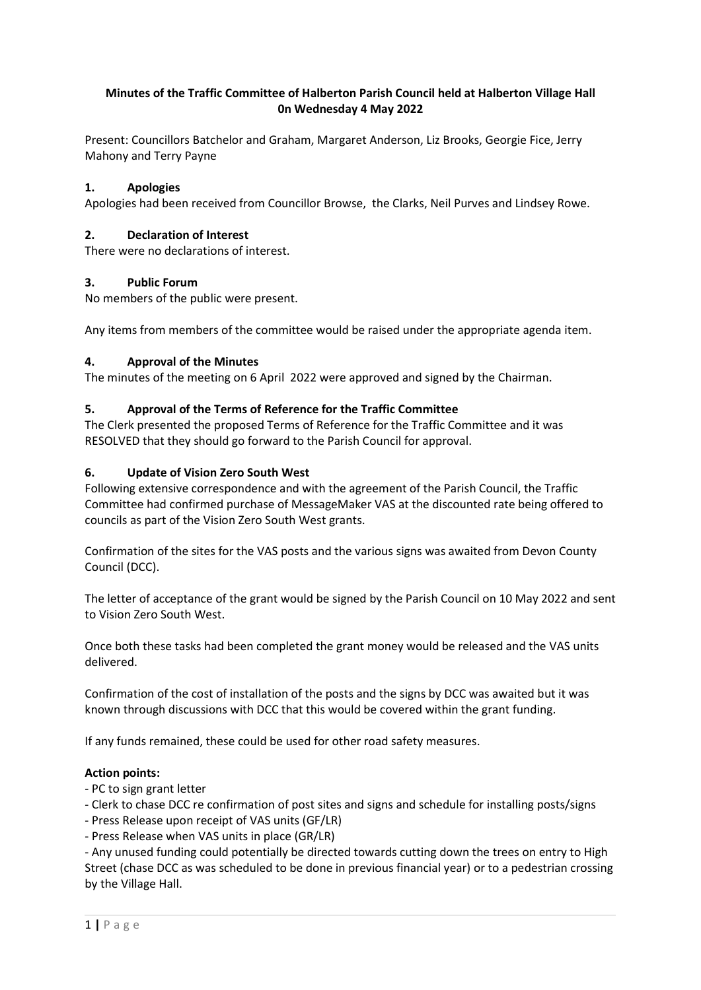# Minutes of the Traffic Committee of Halberton Parish Council held at Halberton Village Hall 0n Wednesday 4 May 2022

Present: Councillors Batchelor and Graham, Margaret Anderson, Liz Brooks, Georgie Fice, Jerry Mahony and Terry Payne

## 1. Apologies

Apologies had been received from Councillor Browse, the Clarks, Neil Purves and Lindsey Rowe.

#### 2. Declaration of Interest

There were no declarations of interest.

## 3. Public Forum

No members of the public were present.

Any items from members of the committee would be raised under the appropriate agenda item.

## 4. Approval of the Minutes

The minutes of the meeting on 6 April 2022 were approved and signed by the Chairman.

## 5. Approval of the Terms of Reference for the Traffic Committee

The Clerk presented the proposed Terms of Reference for the Traffic Committee and it was RESOLVED that they should go forward to the Parish Council for approval.

## 6. Update of Vision Zero South West

Following extensive correspondence and with the agreement of the Parish Council, the Traffic Committee had confirmed purchase of MessageMaker VAS at the discounted rate being offered to councils as part of the Vision Zero South West grants.

Confirmation of the sites for the VAS posts and the various signs was awaited from Devon County Council (DCC).

The letter of acceptance of the grant would be signed by the Parish Council on 10 May 2022 and sent to Vision Zero South West.

Once both these tasks had been completed the grant money would be released and the VAS units delivered.

Confirmation of the cost of installation of the posts and the signs by DCC was awaited but it was known through discussions with DCC that this would be covered within the grant funding.

If any funds remained, these could be used for other road safety measures.

#### Action points:

- PC to sign grant letter
- Clerk to chase DCC re confirmation of post sites and signs and schedule for installing posts/signs
- Press Release upon receipt of VAS units (GF/LR)
- Press Release when VAS units in place (GR/LR)

- Any unused funding could potentially be directed towards cutting down the trees on entry to High Street (chase DCC as was scheduled to be done in previous financial year) or to a pedestrian crossing by the Village Hall.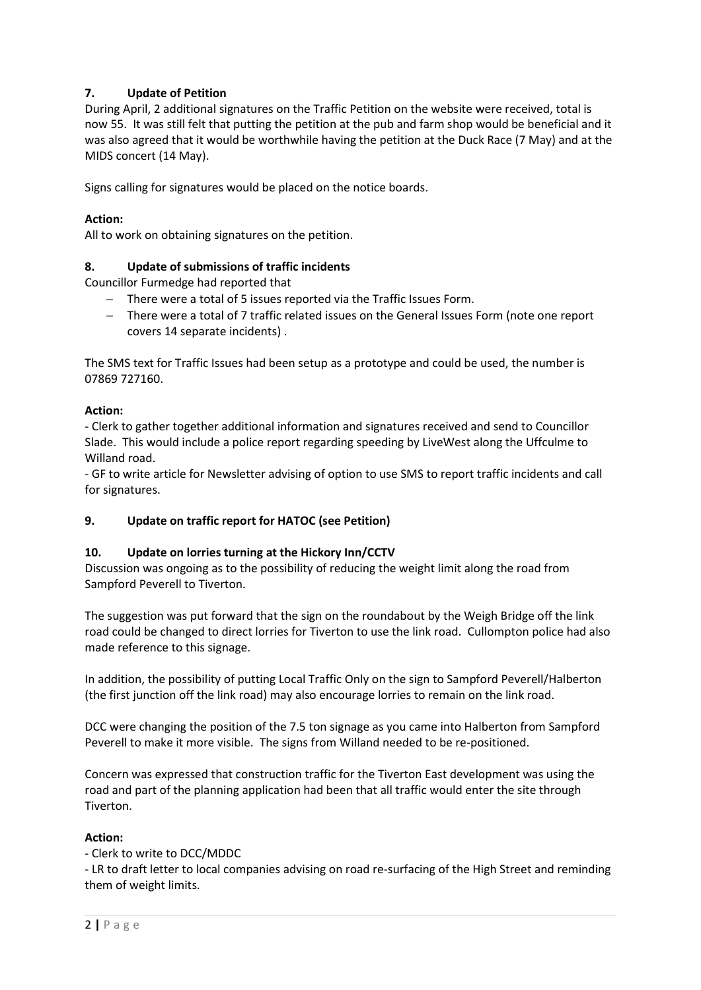# 7. Update of Petition

During April, 2 additional signatures on the Traffic Petition on the website were received, total is now 55. It was still felt that putting the petition at the pub and farm shop would be beneficial and it was also agreed that it would be worthwhile having the petition at the Duck Race (7 May) and at the MIDS concert (14 May).

Signs calling for signatures would be placed on the notice boards.

# Action:

All to work on obtaining signatures on the petition.

## 8. Update of submissions of traffic incidents

Councillor Furmedge had reported that

- There were a total of 5 issues reported via the Traffic Issues Form.
- There were a total of 7 traffic related issues on the General Issues Form (note one report covers 14 separate incidents) .

The SMS text for Traffic Issues had been setup as a prototype and could be used, the number is 07869 727160.

## Action:

- Clerk to gather together additional information and signatures received and send to Councillor Slade. This would include a police report regarding speeding by LiveWest along the Uffculme to Willand road.

- GF to write article for Newsletter advising of option to use SMS to report traffic incidents and call for signatures.

# 9. Update on traffic report for HATOC (see Petition)

#### 10. Update on lorries turning at the Hickory Inn/CCTV

Discussion was ongoing as to the possibility of reducing the weight limit along the road from Sampford Peverell to Tiverton.

The suggestion was put forward that the sign on the roundabout by the Weigh Bridge off the link road could be changed to direct lorries for Tiverton to use the link road. Cullompton police had also made reference to this signage.

In addition, the possibility of putting Local Traffic Only on the sign to Sampford Peverell/Halberton (the first junction off the link road) may also encourage lorries to remain on the link road.

DCC were changing the position of the 7.5 ton signage as you came into Halberton from Sampford Peverell to make it more visible. The signs from Willand needed to be re-positioned.

Concern was expressed that construction traffic for the Tiverton East development was using the road and part of the planning application had been that all traffic would enter the site through Tiverton.

#### Action:

- Clerk to write to DCC/MDDC

- LR to draft letter to local companies advising on road re-surfacing of the High Street and reminding them of weight limits.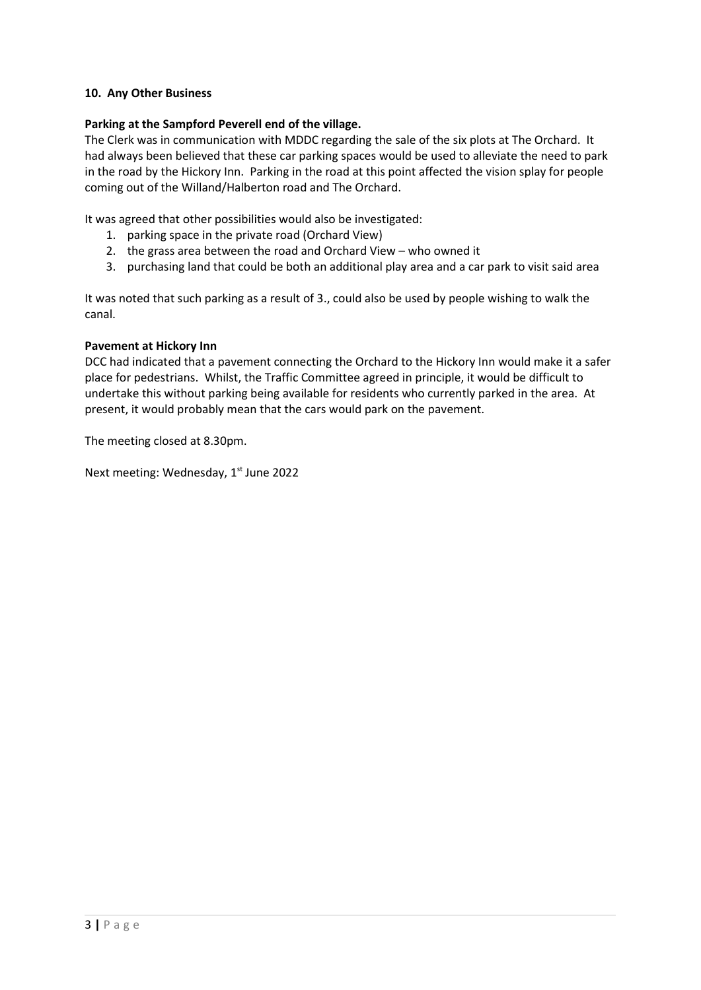## 10. Any Other Business

#### Parking at the Sampford Peverell end of the village.

The Clerk was in communication with MDDC regarding the sale of the six plots at The Orchard. It had always been believed that these car parking spaces would be used to alleviate the need to park in the road by the Hickory Inn. Parking in the road at this point affected the vision splay for people coming out of the Willand/Halberton road and The Orchard.

It was agreed that other possibilities would also be investigated:

- 1. parking space in the private road (Orchard View)
- 2. the grass area between the road and Orchard View who owned it
- 3. purchasing land that could be both an additional play area and a car park to visit said area

It was noted that such parking as a result of 3., could also be used by people wishing to walk the canal.

## Pavement at Hickory Inn

DCC had indicated that a pavement connecting the Orchard to the Hickory Inn would make it a safer place for pedestrians. Whilst, the Traffic Committee agreed in principle, it would be difficult to undertake this without parking being available for residents who currently parked in the area. At present, it would probably mean that the cars would park on the pavement.

The meeting closed at 8.30pm.

Next meeting: Wednesday, 1<sup>st</sup> June 2022